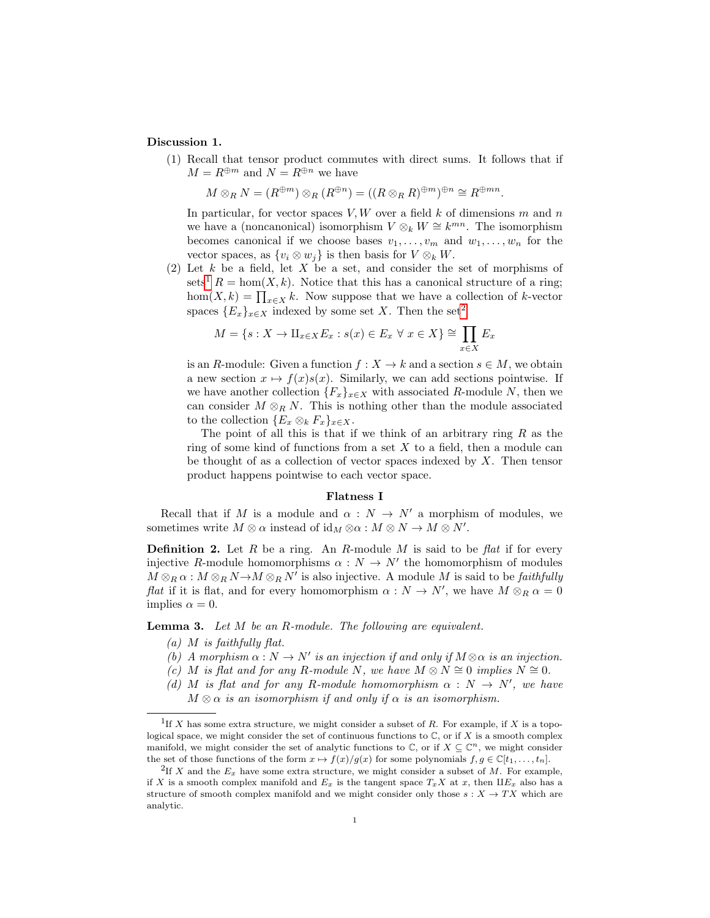# Discussion 1.

(1) Recall that tensor product commutes with direct sums. It follows that if  $M = R^{\oplus m}$  and  $N = R^{\oplus n}$  we have

$$
M \otimes_R N = (R^{\oplus m}) \otimes_R (R^{\oplus n}) = ((R \otimes_R R)^{\oplus m})^{\oplus n} \cong R^{\oplus mn}.
$$

In particular, for vector spaces  $V, W$  over a field  $k$  of dimensions  $m$  and  $n$ we have a (noncanonical) isomorphism  $V \otimes_k W \cong k^{mn}$ . The isomorphism becomes canonical if we choose bases  $v_1, \ldots, v_m$  and  $w_1, \ldots, w_n$  for the vector spaces, as  $\{v_i \otimes w_j\}$  is then basis for  $V \otimes_k W$ .

(2) Let  $k$  be a field, let  $X$  be a set, and consider the set of morphisms of sets<sup>[1](#page-0-0)</sup>  $R = \text{hom}(X, k)$ . Notice that this has a canonical structure of a ring; hom $(X, k) = \prod_{x \in X} k$ . Now suppose that we have a collection of k-vector spaces  ${E_x}_{x \in X}$  indexed by some set X. Then the set<sup>[2](#page-0-1)</sup>

$$
M = \{ s : X \to \amalg_{x \in X} E_x : s(x) \in E_x \ \forall \ x \in X \} \cong \prod_{x \in X} E_x
$$

is an R-module: Given a function  $f: X \to k$  and a section  $s \in M$ , we obtain a new section  $x \mapsto f(x)s(x)$ . Similarly, we can add sections pointwise. If we have another collection  ${F_x}_{x \in X}$  with associated R-module N, then we can consider  $M \otimes_R N$ . This is nothing other than the module associated to the collection  $\{E_x \otimes_k F_x\}_{x \in X}$ .

The point of all this is that if we think of an arbitrary ring  $R$  as the ring of some kind of functions from a set  $X$  to a field, then a module can be thought of as a collection of vector spaces indexed by  $X$ . Then tensor product happens pointwise to each vector space.

# Flatness I

Recall that if M is a module and  $\alpha : N \to N'$  a morphism of modules, we sometimes write  $M \otimes \alpha$  instead of  $\mathrm{id}_M \otimes \alpha : M \otimes N \to M \otimes N'.$ 

**Definition 2.** Let R be a ring. An R-module M is said to be flat if for every injective R-module homomorphisms  $\alpha : N \to N'$  the homomorphism of modules  $M \otimes_R \alpha : M \otimes_R N \rightarrow M \otimes_R N'$  is also injective. A module M is said to be *faithfully flat* if it is flat, and for every homomorphism  $\alpha : N \to N'$ , we have  $M \otimes_R \alpha = 0$ implies  $\alpha = 0$ .

**Lemma 3.** Let  $M$  be an  $R$ -module. The following are equivalent.

- $(a)$  M is faithfully flat.
- (b) A morphism  $\alpha : N \to N'$  is an injection if and only if  $M \otimes \alpha$  is an injection.
- (c) M is flat and for any R-module N, we have  $M \otimes N \cong 0$  implies  $N \cong 0$ .
- (d) M is flat and for any R-module homomorphism  $\alpha : N \to N'$ , we have

 $M \otimes \alpha$  is an isomorphism if and only if  $\alpha$  is an isomorphism.

<span id="page-0-0"></span><sup>&</sup>lt;sup>1</sup>If X has some extra structure, we might consider a subset of R. For example, if X is a topological space, we might consider the set of continuous functions to  $\mathbb C$ , or if X is a smooth complex manifold, we might consider the set of analytic functions to  $\mathbb{C}$ , or if  $X \subseteq \mathbb{C}^n$ , we might consider the set of those functions of the form  $x \mapsto f(x)/g(x)$  for some polynomials  $f, g \in \mathbb{C}[t_1, \ldots, t_n]$ .

<span id="page-0-1"></span><sup>&</sup>lt;sup>2</sup>If X and the  $E_x$  have some extra structure, we might consider a subset of M. For example, if X is a smooth complex manifold and  $E_x$  is the tangent space  $T_xX$  at x, then  $\Pi E_x$  also has a structure of smooth complex manifold and we might consider only those  $s: X \to TX$  which are analytic.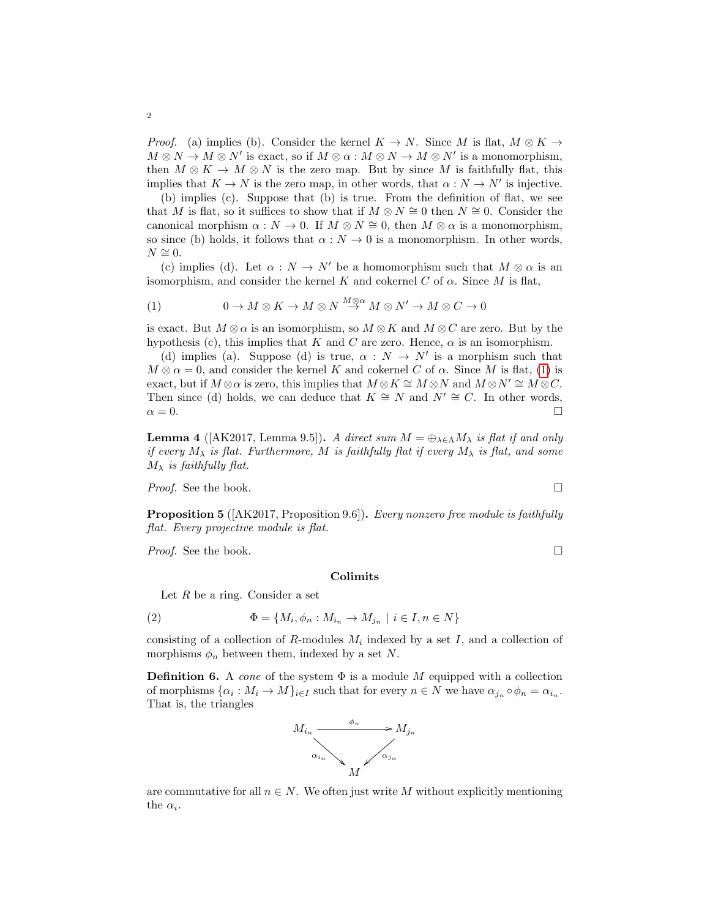*Proof.* (a) implies (b). Consider the kernel  $K \to N$ . Since M is flat,  $M \otimes K \to$  $M \otimes N \to M \otimes N'$  is exact, so if  $M \otimes \alpha : M \otimes N \to M \otimes N'$  is a monomorphism, then  $M \otimes K \to M \otimes N$  is the zero map. But by since M is faithfully flat, this implies that  $K \to N$  is the zero map, in other words, that  $\alpha : N \to N'$  is injective.

(b) implies (c). Suppose that (b) is true. From the definition of flat, we see that M is flat, so it suffices to show that if  $M \otimes N \cong 0$  then  $N \cong 0$ . Consider the canonical morphism  $\alpha : N \to 0$ . If  $M \otimes N \cong 0$ , then  $M \otimes \alpha$  is a monomorphism, so since (b) holds, it follows that  $\alpha : N \to 0$  is a monomorphism. In other words,  $N \cong 0$ .

(c) implies (d). Let  $\alpha : N \to N'$  be a homomorphism such that  $M \otimes \alpha$  is an isomorphism, and consider the kernel K and cokernel C of  $\alpha$ . Since M is flat,

<span id="page-1-0"></span>(1) 
$$
0 \to M \otimes K \to M \otimes N \stackrel{M \otimes \alpha}{\to} M \otimes N' \to M \otimes C \to 0
$$

is exact. But  $M \otimes \alpha$  is an isomorphism, so  $M \otimes K$  and  $M \otimes C$  are zero. But by the hypothesis (c), this implies that K and C are zero. Hence,  $\alpha$  is an isomorphism.

(d) implies (a). Suppose (d) is true,  $\alpha : N \to N'$  is a morphism such that  $M \otimes \alpha = 0$ , and consider the kernel K and cokernel C of  $\alpha$ . Since M is flat, [\(1\)](#page-1-0) is exact, but if  $M \otimes \alpha$  is zero, this implies that  $M \otimes K \cong M \otimes N$  and  $M \otimes N' \cong M \otimes C$ . Then since (d) holds, we can deduce that  $K \cong N$  and  $N' \cong C$ . In other words,  $\alpha = 0.$ 

**Lemma 4** ([AK2017, Lemma 9.5]). A direct sum  $M = \bigoplus_{\lambda \in \Lambda} M_{\lambda}$  is flat if and only if every  $M_{\lambda}$  is flat. Furthermore, M is faithfully flat if every  $M_{\lambda}$  is flat, and some  $M_{\lambda}$  is faithfully flat.

Proof. See the book.

**Proposition 5** ( $[AK2017,$  Proposition 9.6). Every nonzero free module is faithfully flat. Every projective module is flat.

*Proof.* See the book.  $\Box$ 

#### Colimits

Let  $R$  be a ring. Consider a set

(2) 
$$
\Phi = \{M_i, \phi_n : M_{i_n} \to M_{j_n} \mid i \in I, n \in N\}
$$

consisting of a collection of  $R$ -modules  $M_i$  indexed by a set  $I$ , and a collection of morphisms  $\phi_n$  between them, indexed by a set N.

**Definition 6.** A cone of the system  $\Phi$  is a module M equipped with a collection of morphisms  $\{\alpha_i : M_i \to M\}_{i \in I}$  such that for every  $n \in N$  we have  $\alpha_{j_n} \circ \phi_n = \alpha_{i_n}$ . That is, the triangles



are commutative for all  $n \in N$ . We often just write M without explicitly mentioning the  $\alpha_i$ .

$$
\Box
$$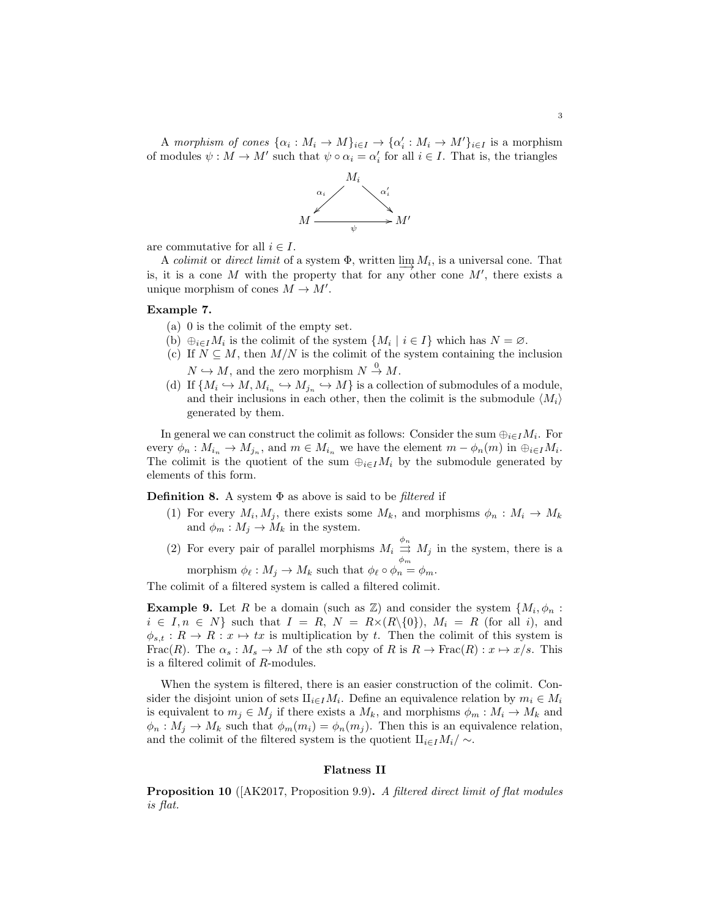A morphism of cones  $\{\alpha_i : M_i \to M\}_{i \in I} \to \{\alpha'_i : M_i \to M'\}_{i \in I}$  is a morphism of modules  $\psi : M \to M'$  such that  $\psi \circ \alpha_i = \alpha'_i$  for all  $i \in I$ . That is, the triangles



are commutative for all  $i \in I$ .

A colimit or direct limit of a system  $\Phi$ , written  $\varinjlim M_i$ , is a universal cone. That is, it is a cone M with the property that for any other cone  $M'$ , there exists a unique morphism of cones  $M \to M'$ .

### Example 7.

- (a) 0 is the colimit of the empty set.
- (b)  $\oplus_{i\in I}M_i$  is the colimit of the system  $\{M_i \mid i\in I\}$  which has  $N=\emptyset$ .
- (c) If  $N \subseteq M$ , then  $M/N$  is the colimit of the system containing the inclusion  $N \hookrightarrow M$ , and the zero morphism  $N \stackrel{0}{\rightarrow} M$ .
- (d) If  $\{M_i \hookrightarrow M, M_{i_n} \hookrightarrow M\}$  is a collection of submodules of a module, and their inclusions in each other, then the colimit is the submodule  $\langle M_i \rangle$ generated by them.

In general we can construct the colimit as follows: Consider the sum  $\bigoplus_{i\in I}M_i$ . For every  $\phi_n: M_{i_n} \to M_{j_n}$ , and  $m \in M_{i_n}$  we have the element  $m - \phi_n(m)$  in  $\bigoplus_{i \in I} M_i$ . The colimit is the quotient of the sum  $\bigoplus_{i\in I}M_i$  by the submodule generated by elements of this form.

**Definition 8.** A system  $\Phi$  as above is said to be *filtered* if

(1) For every  $M_i, M_j$ , there exists some  $M_k$ , and morphisms  $\phi_n : M_i \to M_k$ and  $\phi_m : M_j \to M_k$  in the system.

(2) For every pair of parallel morphisms  $M_i \stackrel{\phi_n}{\rightrightarrows}$  $\Rightarrow M_j$  in the system, there is a morphism  $\phi_{\ell} : M_j \to M_k$  such that  $\phi_{\ell} \circ \phi_n = \phi_m$ .

The colimit of a filtered system is called a filtered colimit.

**Example 9.** Let R be a domain (such as  $\mathbb{Z}$ ) and consider the system  $\{M_i, \phi_n\}$ :  $i \in I, n \in N$  such that  $I = R, N = R \times (R \setminus \{0\}), M_i = R$  (for all i), and  $\phi_{s,t} : R \to R : x \mapsto tx$  is multiplication by t. Then the colimit of this system is Frac(R). The  $\alpha_s : M_s \to M$  of the sth copy of R is  $R \to \text{Frac}(R) : x \mapsto x/s$ . This is a filtered colimit of R-modules.

When the system is filtered, there is an easier construction of the colimit. Consider the disjoint union of sets  $\mathbf{H}_{i\in I}M_i$ . Define an equivalence relation by  $m_i \in M_i$ is equivalent to  $m_j \in M_j$  if there exists a  $M_k$ , and morphisms  $\phi_m : M_i \to M_k$  and  $\phi_n : M_j \to M_k$  such that  $\phi_m(m_i) = \phi_n(m_j)$ . Then this is an equivalence relation, and the colimit of the filtered system is the quotient  $\prod_{i\in I}M_i/\sim$ .

### Flatness II

Proposition 10 ([AK2017, Proposition 9.9). A filtered direct limit of flat modules is flat.